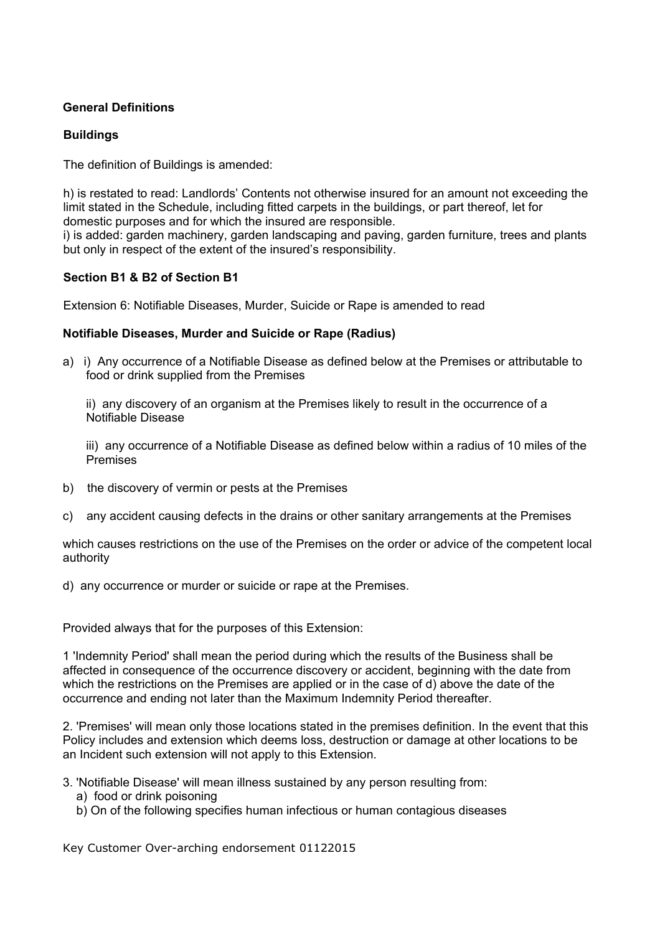# **General Definitions**

## **Buildings**

The definition of Buildings is amended:

h) is restated to read: Landlords' Contents not otherwise insured for an amount not exceeding the limit stated in the Schedule, including fitted carpets in the buildings, or part thereof, let for domestic purposes and for which the insured are responsible.

i) is added: garden machinery, garden landscaping and paving, garden furniture, trees and plants but only in respect of the extent of the insured's responsibility.

## **Section B1 & B2 of Section B1**

Extension 6: Notifiable Diseases, Murder, Suicide or Rape is amended to read

## **Notifiable Diseases, Murder and Suicide or Rape (Radius)**

a) i) Any occurrence of a Notifiable Disease as defined below at the Premises or attributable to food or drink supplied from the Premises

ii) any discovery of an organism at the Premises likely to result in the occurrence of a Notifiable Disease

iii) any occurrence of a Notifiable Disease as defined below within a radius of 10 miles of the Premises

- b) the discovery of vermin or pests at the Premises
- c) any accident causing defects in the drains or other sanitary arrangements at the Premises

which causes restrictions on the use of the Premises on the order or advice of the competent local authority

d) any occurrence or murder or suicide or rape at the Premises.

Provided always that for the purposes of this Extension:

1 'Indemnity Period' shall mean the period during which the results of the Business shall be affected in consequence of the occurrence discovery or accident, beginning with the date from which the restrictions on the Premises are applied or in the case of d) above the date of the occurrence and ending not later than the Maximum Indemnity Period thereafter.

2. 'Premises' will mean only those locations stated in the premises definition. In the event that this Policy includes and extension which deems loss, destruction or damage at other locations to be an Incident such extension will not apply to this Extension.

- 3. 'Notifiable Disease' will mean illness sustained by any person resulting from:
	- a) food or drink poisoning
	- b) On of the following specifies human infectious or human contagious diseases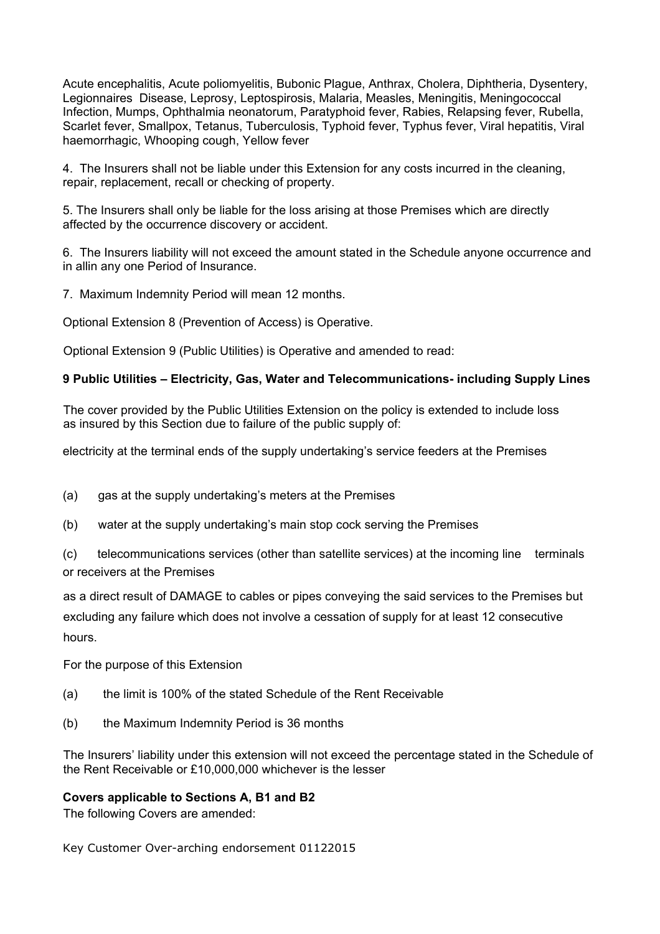Acute encephalitis, Acute poliomyelitis, Bubonic Plague, Anthrax, Cholera, Diphtheria, Dysentery, Legionnaires Disease, Leprosy, Leptospirosis, Malaria, Measles, Meningitis, Meningococcal Infection, Mumps, Ophthalmia neonatorum, Paratyphoid fever, Rabies, Relapsing fever, Rubella, Scarlet fever, Smallpox, Tetanus, Tuberculosis, Typhoid fever, Typhus fever, Viral hepatitis, Viral haemorrhagic, Whooping cough, Yellow fever

4. The Insurers shall not be liable under this Extension for any costs incurred in the cleaning, repair, replacement, recall or checking of property.

5. The Insurers shall only be liable for the loss arising at those Premises which are directly affected by the occurrence discovery or accident.

6. The Insurers liability will not exceed the amount stated in the Schedule anyone occurrence and in allin any one Period of Insurance.

7. Maximum Indemnity Period will mean 12 months.

Optional Extension 8 (Prevention of Access) is Operative.

Optional Extension 9 (Public Utilities) is Operative and amended to read:

### **9 Public Utilities – Electricity, Gas, Water and Telecommunications- including Supply Lines**

The cover provided by the Public Utilities Extension on the policy is extended to include loss as insured by this Section due to failure of the public supply of:

electricity at the terminal ends of the supply undertaking's service feeders at the Premises

(a) gas at the supply undertaking's meters at the Premises

(b) water at the supply undertaking's main stop cock serving the Premises

(c) telecommunications services (other than satellite services) at the incoming line terminals or receivers at the Premises

as a direct result of DAMAGE to cables or pipes conveying the said services to the Premises but excluding any failure which does not involve a cessation of supply for at least 12 consecutive hours.

For the purpose of this Extension

- (a) the limit is 100% of the stated Schedule of the Rent Receivable
- (b) the Maximum Indemnity Period is 36 months

The Insurers' liability under this extension will not exceed the percentage stated in the Schedule of the Rent Receivable or £10,000,000 whichever is the lesser

#### **Covers applicable to Sections A, B1 and B2**

The following Covers are amended: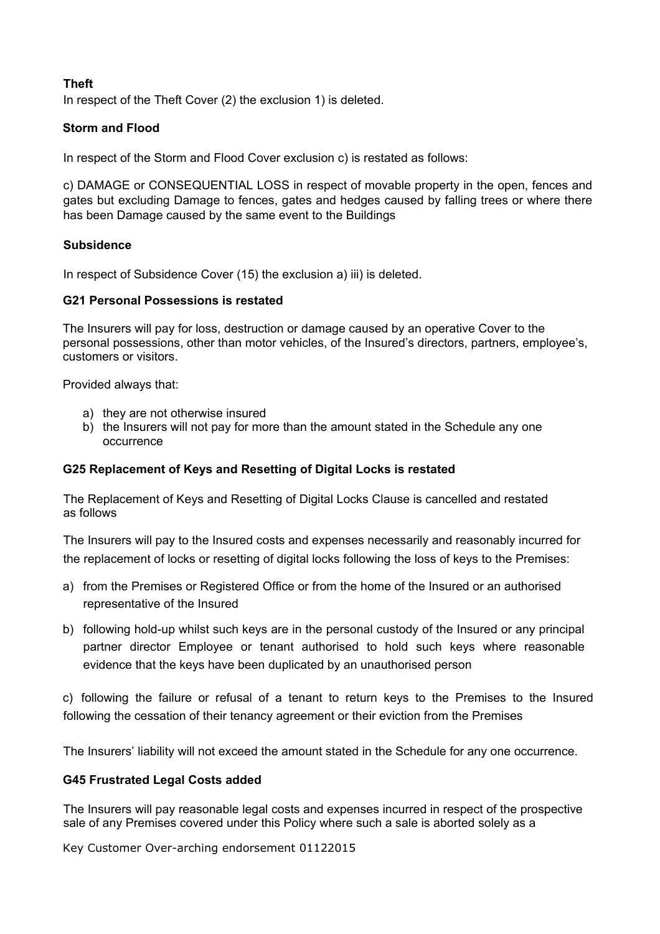# **Theft**

In respect of the Theft Cover (2) the exclusion 1) is deleted.

# **Storm and Flood**

In respect of the Storm and Flood Cover exclusion c) is restated as follows:

c) DAMAGE or CONSEQUENTIAL LOSS in respect of movable property in the open, fences and gates but excluding Damage to fences, gates and hedges caused by falling trees or where there has been Damage caused by the same event to the Buildings

## **Subsidence**

In respect of Subsidence Cover (15) the exclusion a) iii) is deleted.

## **G21 Personal Possessions is restated**

The Insurers will pay for loss, destruction or damage caused by an operative Cover to the personal possessions, other than motor vehicles, of the Insured's directors, partners, employee's, customers or visitors.

Provided always that:

- a) they are not otherwise insured
- b) the Insurers will not pay for more than the amount stated in the Schedule any one occurrence

## **G25 Replacement of Keys and Resetting of Digital Locks is restated**

The Replacement of Keys and Resetting of Digital Locks Clause is cancelled and restated as follows

The Insurers will pay to the Insured costs and expenses necessarily and reasonably incurred for the replacement of locks or resetting of digital locks following the loss of keys to the Premises:

- a) from the Premises or Registered Office or from the home of the Insured or an authorised representative of the Insured
- b) following hold-up whilst such keys are in the personal custody of the Insured or any principal partner director Employee or tenant authorised to hold such keys where reasonable evidence that the keys have been duplicated by an unauthorised person

c) following the failure or refusal of a tenant to return keys to the Premises to the Insured following the cessation of their tenancy agreement or their eviction from the Premises

The Insurers' liability will not exceed the amount stated in the Schedule for any one occurrence.

## **G45 Frustrated Legal Costs added**

The Insurers will pay reasonable legal costs and expenses incurred in respect of the prospective sale of any Premises covered under this Policy where such a sale is aborted solely as a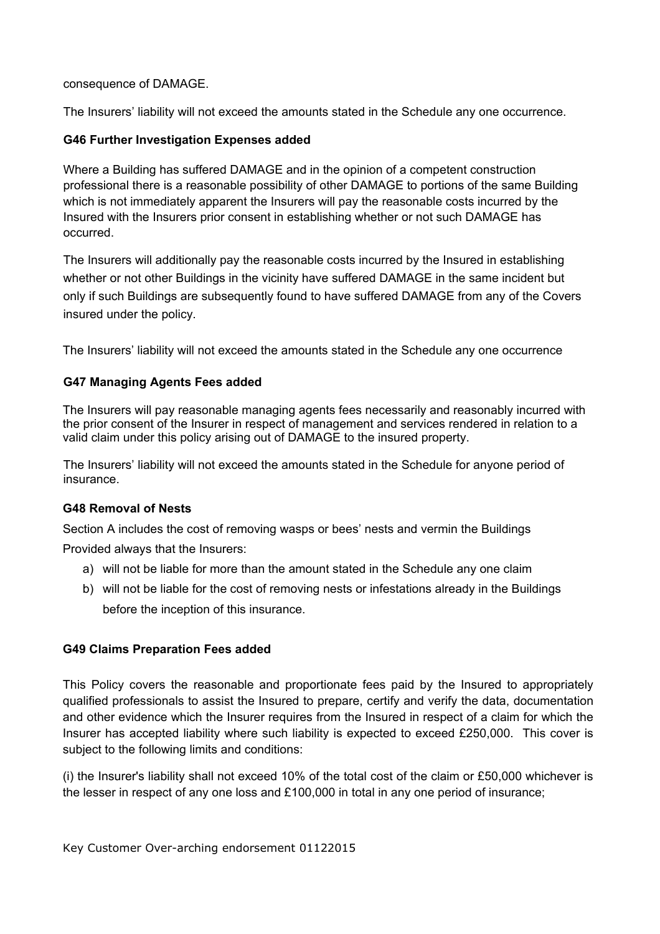## consequence of DAMAGE.

The Insurers' liability will not exceed the amounts stated in the Schedule any one occurrence.

# **G46 Further Investigation Expenses added**

Where a Building has suffered DAMAGE and in the opinion of a competent construction professional there is a reasonable possibility of other DAMAGE to portions of the same Building which is not immediately apparent the Insurers will pay the reasonable costs incurred by the Insured with the Insurers prior consent in establishing whether or not such DAMAGE has occurred.

The Insurers will additionally pay the reasonable costs incurred by the Insured in establishing whether or not other Buildings in the vicinity have suffered DAMAGE in the same incident but only if such Buildings are subsequently found to have suffered DAMAGE from any of the Covers insured under the policy.

The Insurers' liability will not exceed the amounts stated in the Schedule any one occurrence

# **G47 Managing Agents Fees added**

The Insurers will pay reasonable managing agents fees necessarily and reasonably incurred with the prior consent of the Insurer in respect of management and services rendered in relation to a valid claim under this policy arising out of DAMAGE to the insured property.

The Insurers' liability will not exceed the amounts stated in the Schedule for anyone period of insurance.

## **G48 Removal of Nests**

Section A includes the cost of removing wasps or bees' nests and vermin the Buildings Provided always that the Insurers:

- a) will not be liable for more than the amount stated in the Schedule any one claim
- b) will not be liable for the cost of removing nests or infestations already in the Buildings before the inception of this insurance.

## **G49 Claims Preparation Fees added**

This Policy covers the reasonable and proportionate fees paid by the Insured to appropriately qualified professionals to assist the Insured to prepare, certify and verify the data, documentation and other evidence which the Insurer requires from the Insured in respect of a claim for which the Insurer has accepted liability where such liability is expected to exceed £250,000. This cover is subject to the following limits and conditions:

(i) the Insurer's liability shall not exceed 10% of the total cost of the claim or £50,000 whichever is the lesser in respect of any one loss and £100,000 in total in any one period of insurance;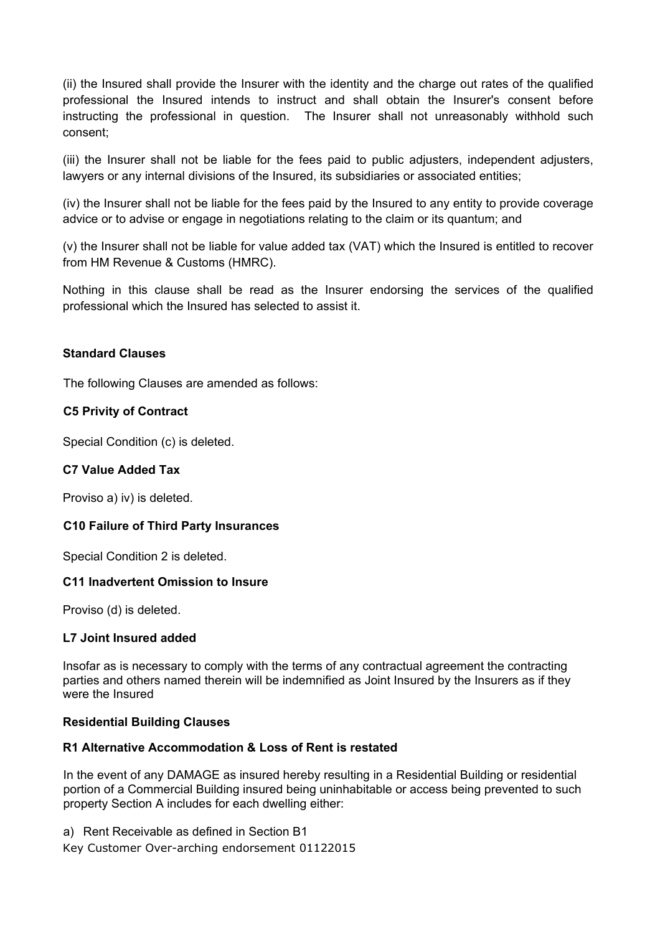(ii) the Insured shall provide the Insurer with the identity and the charge out rates of the qualified professional the Insured intends to instruct and shall obtain the Insurer's consent before instructing the professional in question. The Insurer shall not unreasonably withhold such consent;

(iii) the Insurer shall not be liable for the fees paid to public adjusters, independent adjusters, lawyers or any internal divisions of the Insured, its subsidiaries or associated entities;

(iv) the Insurer shall not be liable for the fees paid by the Insured to any entity to provide coverage advice or to advise or engage in negotiations relating to the claim or its quantum; and

(v) the Insurer shall not be liable for value added tax (VAT) which the Insured is entitled to recover from HM Revenue & Customs (HMRC).

Nothing in this clause shall be read as the Insurer endorsing the services of the qualified professional which the Insured has selected to assist it.

### **Standard Clauses**

The following Clauses are amended as follows:

### **C5 Privity of Contract**

Special Condition (c) is deleted.

### **C7 Value Added Tax**

Proviso a) iv) is deleted.

#### **C10 Failure of Third Party Insurances**

Special Condition 2 is deleted.

#### **C11 Inadvertent Omission to Insure**

Proviso (d) is deleted.

#### **L7 Joint Insured added**

Insofar as is necessary to comply with the terms of any contractual agreement the contracting parties and others named therein will be indemnified as Joint Insured by the Insurers as if they were the Insured

#### **Residential Building Clauses**

#### **R1 Alternative Accommodation & Loss of Rent is restated**

In the event of any DAMAGE as insured hereby resulting in a Residential Building or residential portion of a Commercial Building insured being uninhabitable or access being prevented to such property Section A includes for each dwelling either:

a) Rent Receivable as defined in Section B1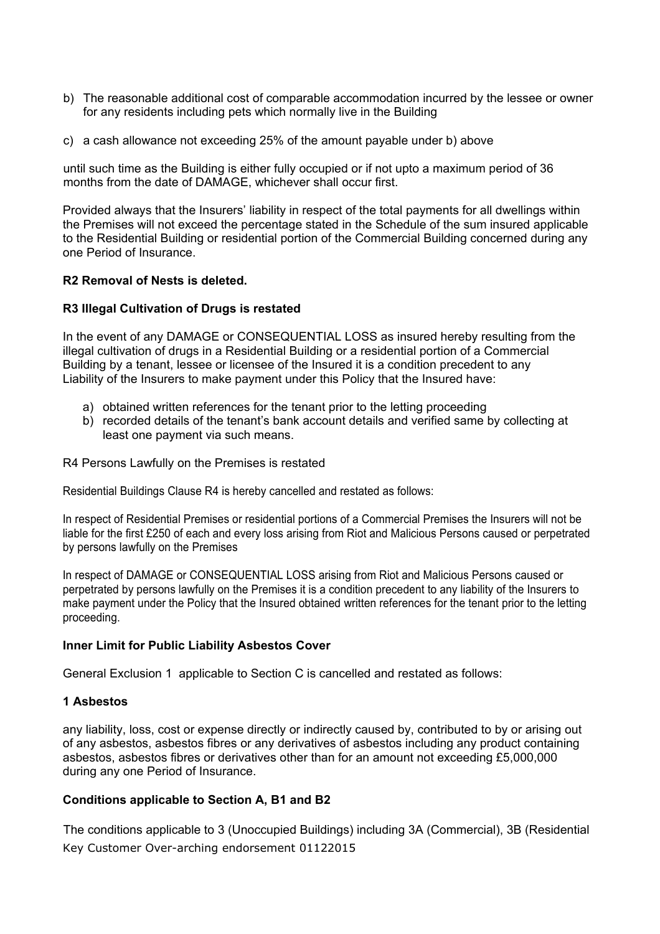- b) The reasonable additional cost of comparable accommodation incurred by the lessee or owner for any residents including pets which normally live in the Building
- c) a cash allowance not exceeding 25% of the amount payable under b) above

until such time as the Building is either fully occupied or if not upto a maximum period of 36 months from the date of DAMAGE, whichever shall occur first.

Provided always that the Insurers' liability in respect of the total payments for all dwellings within the Premises will not exceed the percentage stated in the Schedule of the sum insured applicable to the Residential Building or residential portion of the Commercial Building concerned during any one Period of Insurance.

## **R2 Removal of Nests is deleted.**

### **R3 Illegal Cultivation of Drugs is restated**

In the event of any DAMAGE or CONSEQUENTIAL LOSS as insured hereby resulting from the illegal cultivation of drugs in a Residential Building or a residential portion of a Commercial Building by a tenant, lessee or licensee of the Insured it is a condition precedent to any Liability of the Insurers to make payment under this Policy that the Insured have:

- a) obtained written references for the tenant prior to the letting proceeding
- b) recorded details of the tenant's bank account details and verified same by collecting at least one payment via such means.

R4 Persons Lawfully on the Premises is restated

Residential Buildings Clause R4 is hereby cancelled and restated as follows:

In respect of Residential Premises or residential portions of a Commercial Premises the Insurers will not be liable for the first £250 of each and every loss arising from Riot and Malicious Persons caused or perpetrated by persons lawfully on the Premises

In respect of DAMAGE or CONSEQUENTIAL LOSS arising from Riot and Malicious Persons caused or perpetrated by persons lawfully on the Premises it is a condition precedent to any liability of the Insurers to make payment under the Policy that the Insured obtained written references for the tenant prior to the letting proceeding.

## **Inner Limit for Public Liability Asbestos Cover**

General Exclusion 1 applicable to Section C is cancelled and restated as follows:

## **1 Asbestos**

any liability, loss, cost or expense directly or indirectly caused by, contributed to by or arising out of any asbestos, asbestos fibres or any derivatives of asbestos including any product containing asbestos, asbestos fibres or derivatives other than for an amount not exceeding £5,000,000 during any one Period of Insurance.

## **Conditions applicable to Section A, B1 and B2**

Key Customer Over-arching endorsement 01122015 The conditions applicable to 3 (Unoccupied Buildings) including 3A (Commercial), 3B (Residential